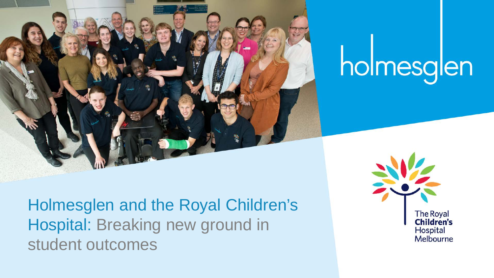

# holmesglen

Holmesglen and the Royal Children's Hospital: Breaking new ground in student outcomes

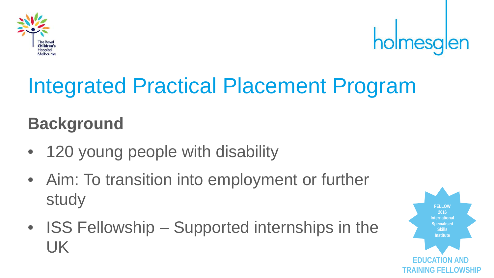



## Integrated Practical Placement Program

### **Background**

- 120 young people with disability
- Aim: To transition into employment or further study
- ISS Fellowship Supported internships in the UK

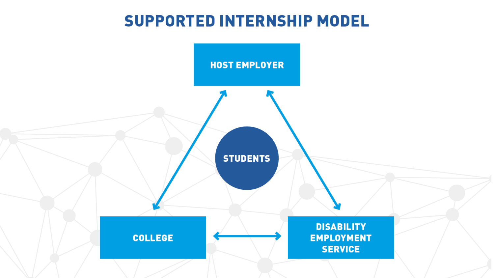### **SUPPORTED INTERNSHIP MODEL**

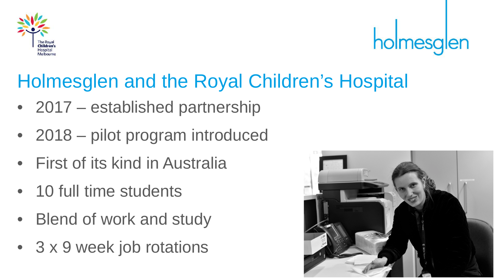



### Holmesglen and the Royal Children's Hospital

- 2017 established partnership
- 2018 pilot program introduced
- First of its kind in Australia
- 10 full time students
- **Blend of work and study**
- 3 x 9 week job rotations

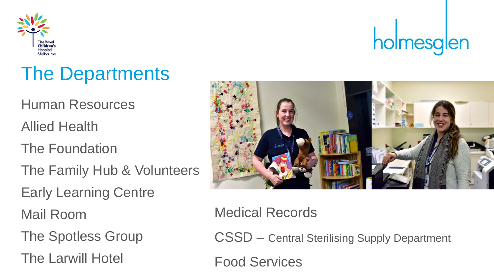



## The Departments

Human Resources

### Allied Health

The Foundation

The Family Hub & Volunteers

Early Learning Centre

Mail Room

The Spotless Group

The Larwill Hotel



### Medical Records

CSSD – Central Sterilising Supply Department

Food Services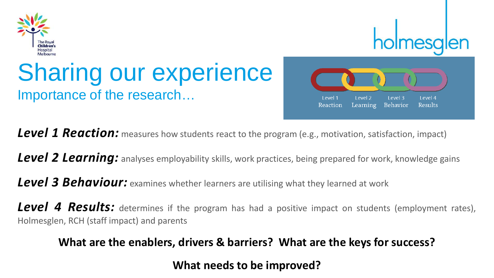

## Sharing our experience Importance of the research…



**Level 1 Reaction:** measures how students react to the program (e.g., motivation, satisfaction, impact)

*Level 2 Learning:* analyses employability skills, work practices, being prepared for work, knowledge gains

**Level 3 Behaviour:** examines whether learners are utilising what they learned at work

**Level 4 Results:** determines if the program has had a positive impact on students (employment rates), Holmesglen, RCH (staff impact) and parents

#### **What are the enablers, drivers & barriers? What are the keys for success?**

**What needs to be improved?**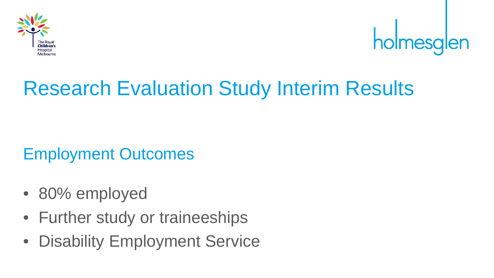



## Research Evaluation Study Interim Results

### Employment Outcomes

- 80% employed
- Further study or traineeships
- Disability Employment Service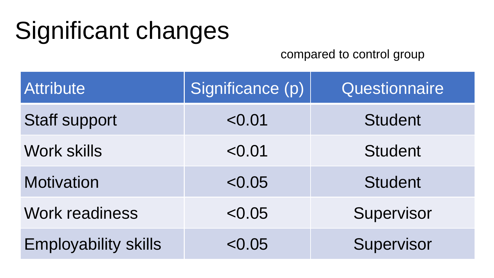## Significant changes

### compared to control group

| <b>Attribute</b>            | Significance (p) | Questionnaire  |
|-----------------------------|------------------|----------------|
| <b>Staff support</b>        | < 0.01           | <b>Student</b> |
| <b>Work skills</b>          | < 0.01           | <b>Student</b> |
| <b>Motivation</b>           | < 0.05           | <b>Student</b> |
| <b>Work readiness</b>       | < 0.05           | Supervisor     |
| <b>Employability skills</b> | ${<}0.05$        | Supervisor     |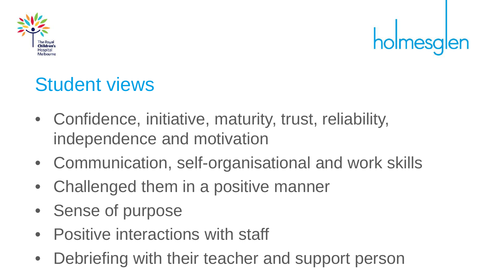



### Student views

- Confidence, initiative, maturity, trust, reliability, independence and motivation
- Communication, self-organisational and work skills
- Challenged them in a positive manner
- Sense of purpose
- Positive interactions with staff
- Debriefing with their teacher and support person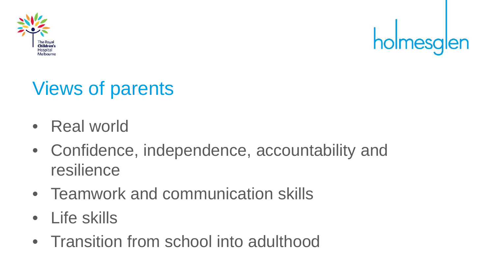



### Views of parents

- Real world
- Confidence, independence, accountability and resilience
- Teamwork and communication skills
- Life skills
- Transition from school into adulthood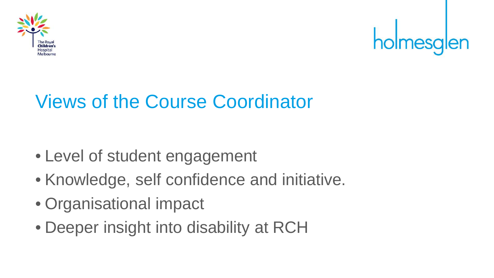



### Views of the Course Coordinator

- Level of student engagement
- Knowledge, self confidence and initiative.
- Organisational impact
- Deeper insight into disability at RCH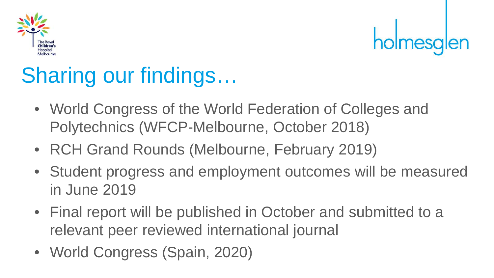



## Sharing our findings…

- World Congress of the World Federation of Colleges and Polytechnics (WFCP-Melbourne, October 2018)
- RCH Grand Rounds (Melbourne, February 2019)
- Student progress and employment outcomes will be measured in June 2019
- Final report will be published in October and submitted to a relevant peer reviewed international journal
- World Congress (Spain, 2020)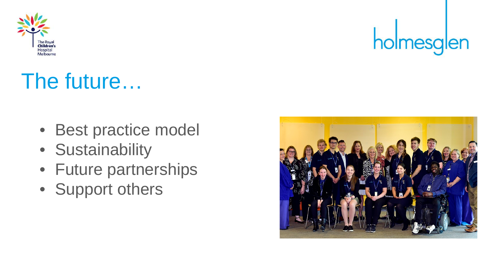

## The future…

- Best practice model
- Sustainability
- Future partnerships
- Support others



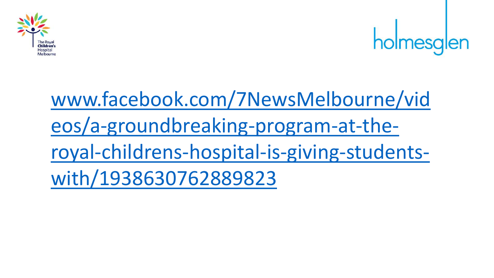



www.facebook.com/7NewsMelbourne/vid eos/a-groundbreaking-program-at-the[royal-childrens-hospital-is-giving-students](https://www.facebook.com/7NewsMelbourne/videos/a-groundbreaking-program-at-the-royal-childrens-hospital-is-giving-students-with/1938630762889823/)with/1938630762889823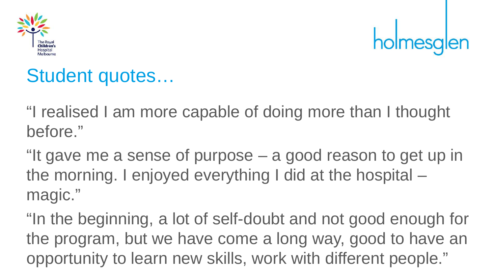



### Student quotes…

"I realised I am more capable of doing more than I thought before."

"It gave me a sense of purpose – a good reason to get up in the morning. I enjoyed everything I did at the hospital – magic."

"In the beginning, a lot of self-doubt and not good enough for the program, but we have come a long way, good to have an opportunity to learn new skills, work with different people."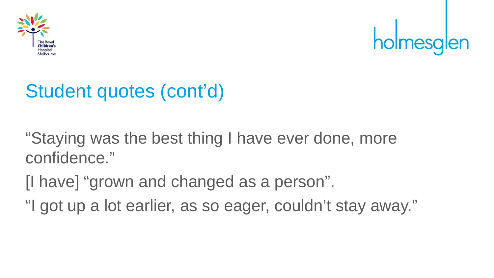



### Student quotes (cont'd)

"Staying was the best thing I have ever done, more confidence."

- [I have] "grown and changed as a person".
- "I got up a lot earlier, as so eager, couldn't stay away."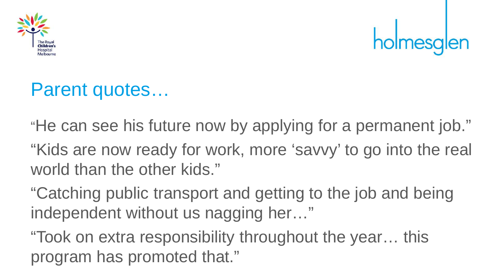



### Parent quotes…

"He can see his future now by applying for a permanent job."

"Kids are now ready for work, more 'savvy' to go into the real world than the other kids."

"Catching public transport and getting to the job and being independent without us nagging her…"

"Took on extra responsibility throughout the year… this program has promoted that."